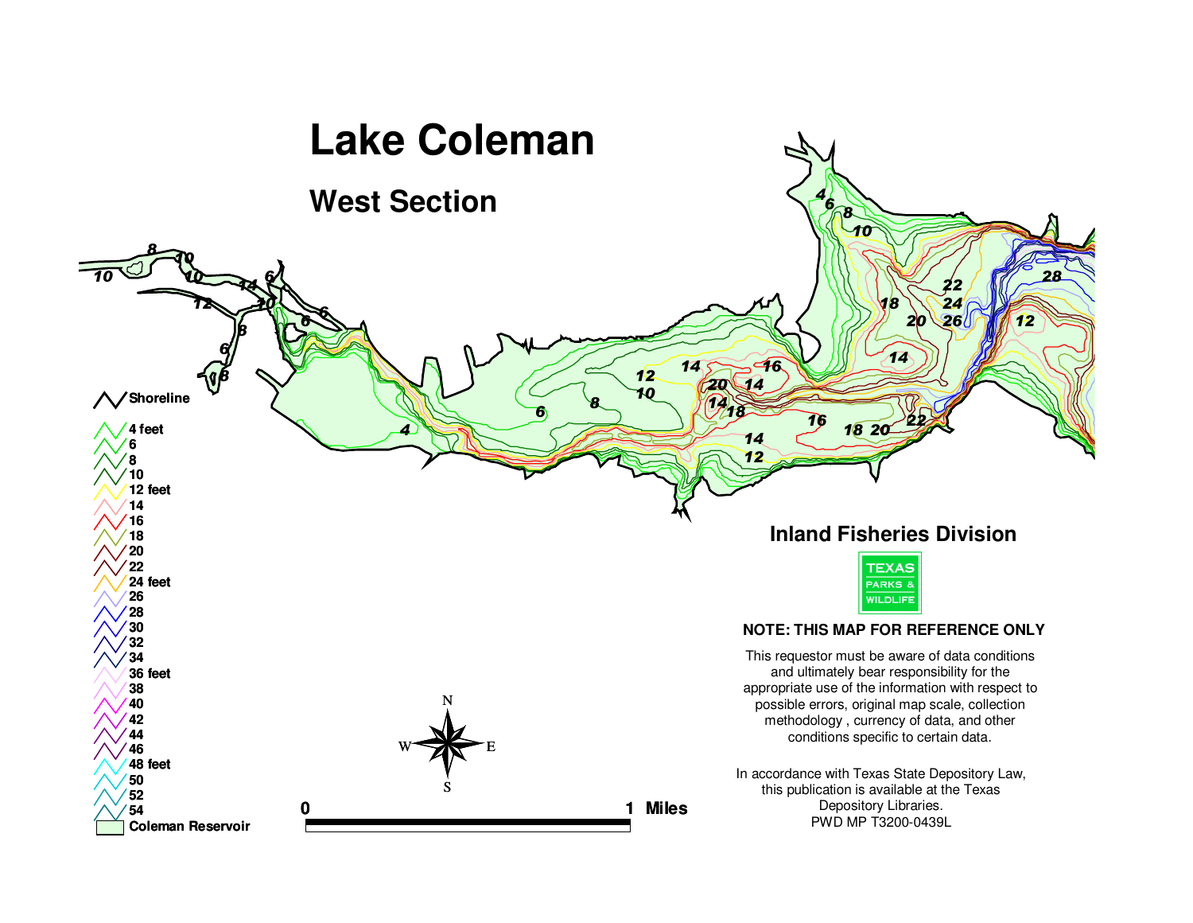